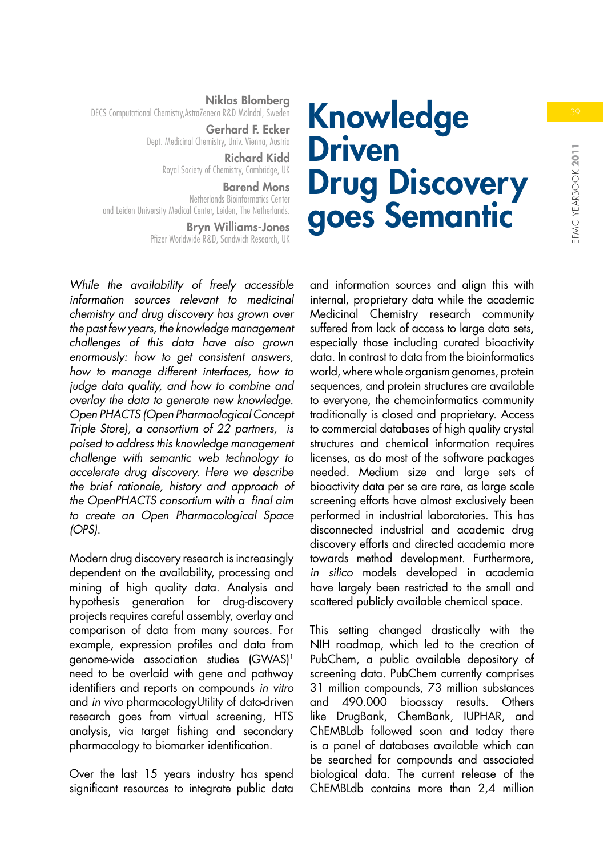Niklas Blomberg DECS Computational Chemistry,AstraZeneca R&D Mölndal, Sweden

> Gerhard F. Ecker Dept. Medicinal Chemistry, Univ. Vienna, Austria

> > Richard Kidd Royal Society of Chemistry, Cambridge, UK

Barend Mons Netherlands Bioinformatics Center and Leiden University Medical Center, Leiden, The Netherlands.

> Bryn Williams-Jones Pfizer Worldwide R&D, Sandwich Research, UK

*While the availability of freely accessible information sources relevant to medicinal chemistry and drug discovery has grown over the past few years, the knowledge management challenges of this data have also grown enormously: how to get consistent answers, how to manage different interfaces, how to judge data quality, and how to combine and overlay the data to generate new knowledge. Open PHACTS (Open Pharmaological Concept Triple Store), a consortium of 22 partners, is poised to address this knowledge management challenge with semantic web technology to accelerate drug discovery. Here we describe the brief rationale, history and approach of the OpenPHACTS consortium with a final aim to create an Open Pharmacological Space (OPS)*.

Modern drug discovery research is increasingly dependent on the availability, processing and mining of high quality data. Analysis and hypothesis generation for drug-discovery projects requires careful assembly, overlay and comparison of data from many sources. For example, expression profiles and data from genome-wide association studies (GWAS)<sup>1</sup> need to be overlaid with gene and pathway identifiers and reports on compounds *in vitro* and *in vivo* pharmacologyUtility of data-driven research goes from virtual screening, HTS analysis, via target fishing and secondary pharmacology to biomarker identification.

Over the last 15 years industry has spend significant resources to integrate public data

## Knowledge Driven Drug Discovery goes Semantic

and information sources and align this with internal, proprietary data while the academic Medicinal Chemistry research community suffered from lack of access to large data sets, especially those including curated bioactivity data. In contrast to data from the bioinformatics world, where whole organism genomes, protein sequences, and protein structures are available to everyone, the chemoinformatics community traditionally is closed and proprietary. Access to commercial databases of high quality crystal structures and chemical information requires licenses, as do most of the software packages needed. Medium size and large sets of bioactivity data per se are rare, as large scale screening efforts have almost exclusively been performed in industrial laboratories. This has disconnected industrial and academic drug discovery efforts and directed academia more towards method development. Furthermore, *in silico* models developed in academia have largely been restricted to the small and scattered publicly available chemical space.

This setting changed drastically with the NIH roadmap, which led to the creation of PubChem, a public available depository of screening data. PubChem currently comprises 31 million compounds, 73 million substances and 490.000 bioassay results. Others like DrugBank, ChemBank, IUPHAR, and ChEMBLdb followed soon and today there is a panel of databases available which can be searched for compounds and associated biological data. The current release of the ChEMBLdb contains more than 2,4 million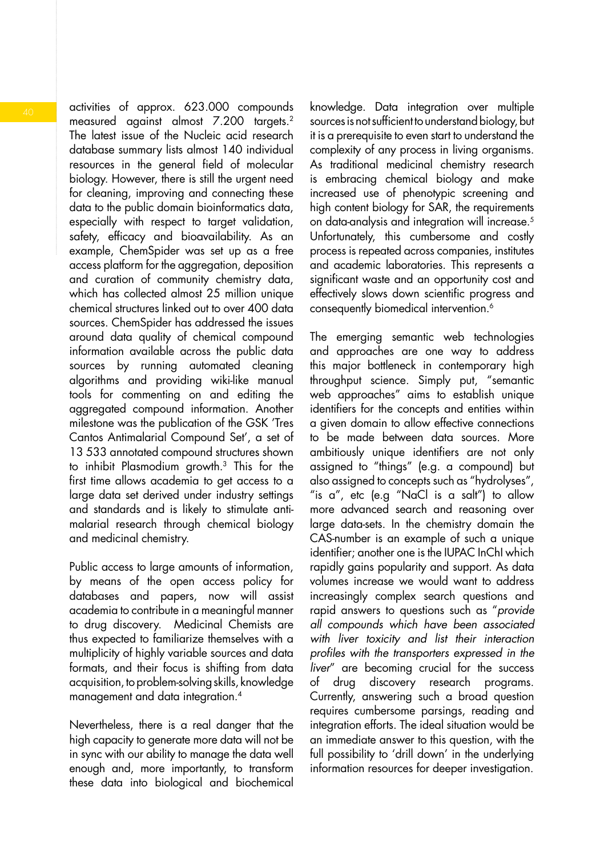activities of approx. 623.000 compounds measured against almost 7.200 targets.2 The latest issue of the Nucleic acid research database summary lists almost 140 individual resources in the general field of molecular biology. However, there is still the urgent need for cleaning, improving and connecting these data to the public domain bioinformatics data, especially with respect to target validation, safety, efficacy and bioavailability. As an example, ChemSpider was set up as a free access platform for the aggregation, deposition and curation of community chemistry data, which has collected almost 25 million unique chemical structures linked out to over 400 data sources. ChemSpider has addressed the issues around data quality of chemical compound information available across the public data sources by running automated cleaning algorithms and providing wiki-like manual tools for commenting on and editing the aggregated compound information. Another milestone was the publication of the GSK 'Tres Cantos Antimalarial Compound Set', a set of 13 533 annotated compound structures shown to inhibit Plasmodium growth.3 This for the first time allows academia to get access to a large data set derived under industry settings and standards and is likely to stimulate antimalarial research through chemical biology and medicinal chemistry.

Public access to large amounts of information, by means of the open access policy for databases and papers, now will assist academia to contribute in a meaningful manner to drug discovery. Medicinal Chemists are thus expected to familiarize themselves with a multiplicity of highly variable sources and data formats, and their focus is shifting from data acquisition, to problem-solving skills, knowledge management and data integration.4

Nevertheless, there is a real danger that the high capacity to generate more data will not be in sync with our ability to manage the data well enough and, more importantly, to transform these data into biological and biochemical

knowledge. Data integration over multiple sources is not sufficient to understand biology, but it is a prerequisite to even start to understand the complexity of any process in living organisms. As traditional medicinal chemistry research is embracing chemical biology and make increased use of phenotypic screening and high content biology for SAR, the requirements on data-analysis and integration will increase.<sup>5</sup> Unfortunately, this cumbersome and costly process is repeated across companies, institutes and academic laboratories. This represents a significant waste and an opportunity cost and effectively slows down scientific progress and consequently biomedical intervention.<sup>6</sup>

The emerging semantic web technologies and approaches are one way to address this major bottleneck in contemporary high throughput science. Simply put, "semantic web approaches" aims to establish unique identifiers for the concepts and entities within a given domain to allow effective connections to be made between data sources. More ambitiously unique identifiers are not only assigned to "things" (e.g. a compound) but also assigned to concepts such as "hydrolyses", "is a", etc (e.g "NaCl is a salt") to allow more advanced search and reasoning over large data-sets. In the chemistry domain the CAS-number is an example of such a unique identifier; another one is the IUPAC InChI which rapidly gains popularity and support. As data volumes increase we would want to address increasingly complex search questions and rapid answers to questions such as "*provide all compounds which have been associated with liver toxicity and list their interaction profiles with the transporters expressed in the liver*" are becoming crucial for the success of drug discovery research programs. Currently, answering such a broad question requires cumbersome parsings, reading and integration efforts. The ideal situation would be an immediate answer to this question, with the full possibility to 'drill down' in the underlying information resources for deeper investigation.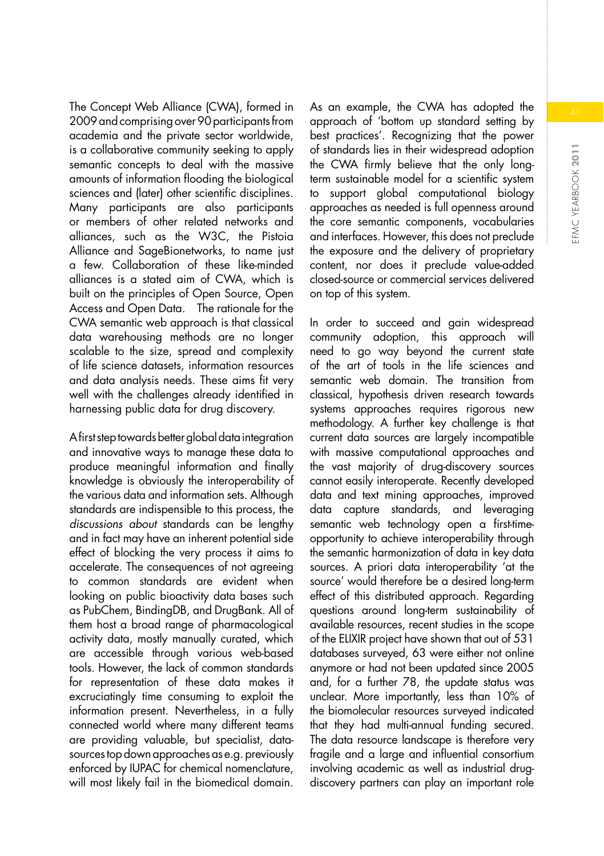The Concept Web Alliance (CWA), formed in 2009 and comprising over 90 participants from academia and the private sector worldwide, is a collaborative community seeking to apply semantic concepts to deal with the massive amounts of information flooding the biological sciences and (later) other scientific disciplines. Many participants are also participants or members of other related networks and alliances, such as the W3C, the Pistoia Alliance and SageBionetworks, to name just a few. Collaboration of these like-minded alliances is a stated aim of CWA, which is built on the principles of Open Source, Open Access and Open Data. The rationale for the CWA semantic web approach is that classical data warehousing methods are no longer scalable to the size, spread and complexity of life science datasets, information resources and data analysis needs. These aims fit very well with the challenges already identified in harnessing public data for drug discovery.

A first step towards better global data integration and innovative ways to manage these data to produce meaningful information and finally knowledge is obviously the interoperability of the various data and information sets. Although standards are indispensible to this process, the *discussions about* standards can be lengthy and in fact may have an inherent potential side effect of blocking the very process it aims to accelerate. The consequences of not agreeing to common standards are evident when looking on public bioactivity data bases such as PubChem, BindingDB, and DrugBank. All of them host a broad range of pharmacological activity data, mostly manually curated, which are accessible through various web-based tools. However, the lack of common standards for representation of these data makes it excruciatingly time consuming to exploit the information present. Nevertheless, in a fully connected world where many different teams are providing valuable, but specialist, datasources top down approaches as e.g. previously enforced by IUPAC for chemical nomenclature, will most likely fail in the biomedical domain.

As an example, the CWA has adopted the approach of 'bottom up standard setting by best practices'. Recognizing that the power of standards lies in their widespread adoption the CWA firmly believe that the only longterm sustainable model for a scientific system to support global computational biology approaches as needed is full openness around the core semantic components, vocabularies and interfaces. However, this does not preclude the exposure and the delivery of proprietary content, nor does it preclude value-added closed-source or commercial services delivered on top of this system.

In order to succeed and gain widespread community adoption, this approach will need to go way beyond the current state of the art of tools in the life sciences and semantic web domain. The transition from classical, hypothesis driven research towards systems approaches requires rigorous new methodology. A further key challenge is that current data sources are largely incompatible with massive computational approaches and the vast majority of drug-discovery sources cannot easily interoperate. Recently developed data and text mining approaches, improved data capture standards, and leveraging semantic web technology open a first-timeopportunity to achieve interoperability through the semantic harmonization of data in key data sources. A priori data interoperability 'at the source' would therefore be a desired long-term effect of this distributed approach. Regarding questions around long-term sustainability of available resources, recent studies in the scope of the ELIXIR project have shown that out of 531 databases surveyed, 63 were either not online anymore or had not been updated since 2005 and, for a further 78, the update status was unclear. More importantly, less than 10% of the biomolecular resources surveyed indicated that they had multi-annual funding secured. The data resource landscape is therefore very fragile and a large and influential consortium involving academic as well as industrial drugdiscovery partners can play an important role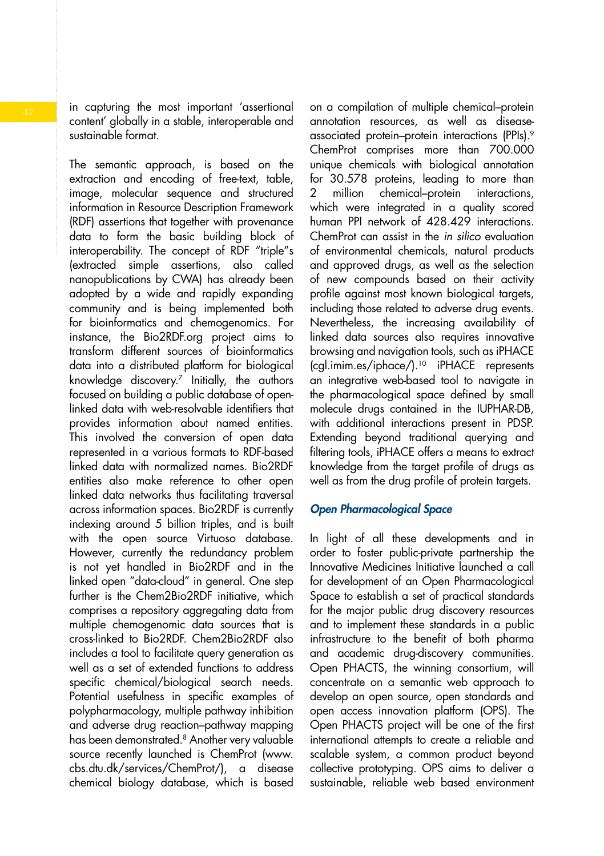in capturing the most important 'assertional content' globally in a stable, interoperable and sustainable format.

The semantic approach, is based on the extraction and encoding of free-text, table, image, molecular sequence and structured information in Resource Description Framework (RDF) assertions that together with provenance data to form the basic building block of interoperability. The concept of RDF "triple"s (extracted simple assertions, also called nanopublications by CWA) has already been adopted by a wide and rapidly expanding community and is being implemented both for bioinformatics and chemogenomics. For instance, the Bio2RDF.org project aims to transform different sources of bioinformatics data into a distributed platform for biological knowledge discovery.<sup>7</sup> Initially, the authors focused on building a public database of openlinked data with web-resolvable identifiers that provides information about named entities. This involved the conversion of open data represented in a various formats to RDF-based linked data with normalized names. Bio2RDF entities also make reference to other open linked data networks thus facilitating traversal across information spaces. Bio2RDF is currently indexing around 5 billion triples, and is built with the open source Virtuoso database. However, currently the redundancy problem is not yet handled in Bio2RDF and in the linked open "data-cloud" in general. One step further is the Chem2Bio2RDF initiative, which comprises a repository aggregating data from multiple chemogenomic data sources that is cross-linked to Bio2RDF. Chem2Bio2RDF also includes a tool to facilitate query generation as well as a set of extended functions to address specific chemical/biological search needs. Potential usefulness in specific examples of polypharmacology, multiple pathway inhibition and adverse drug reaction–pathway mapping has been demonstrated.<sup>8</sup> Another very valuable source recently launched is ChemProt (www. cbs.dtu.dk/services/ChemProt/), a disease chemical biology database, which is based

on a compilation of multiple chemical–protein annotation resources, as well as diseaseassociated protein–protein interactions (PPIs).9 ChemProt comprises more than 700.000 unique chemicals with biological annotation for 30.578 proteins, leading to more than 2 million chemical–protein interactions, which were integrated in a quality scored human PPI network of 428.429 interactions. ChemProt can assist in the *in silico* evaluation of environmental chemicals, natural products and approved drugs, as well as the selection of new compounds based on their activity profile against most known biological targets, including those related to adverse drug events. Nevertheless, the increasing availability of linked data sources also requires innovative browsing and navigation tools, such as iPHACE (cgl.imim.es/iphace/).10 iPHACE represents an integrative web-based tool to navigate in the pharmacological space defined by small molecule drugs contained in the IUPHAR-DB, with additional interactions present in PDSP. Extending beyond traditional querying and filtering tools, iPHACE offers a means to extract knowledge from the target profile of drugs as well as from the drug profile of protein targets.

## *Open Pharmacological Space*

In light of all these developments and in order to foster public-private partnership the Innovative Medicines Initiative launched a call for development of an Open Pharmacological Space to establish a set of practical standards for the major public drug discovery resources and to implement these standards in a public infrastructure to the benefit of both pharma and academic drug-discovery communities. Open PHACTS, the winning consortium, will concentrate on a semantic web approach to develop an open source, open standards and open access innovation platform (OPS). The Open PHACTS project will be one of the first international attempts to create a reliable and scalable system, a common product beyond collective prototyping. OPS aims to deliver a sustainable, reliable web based environment